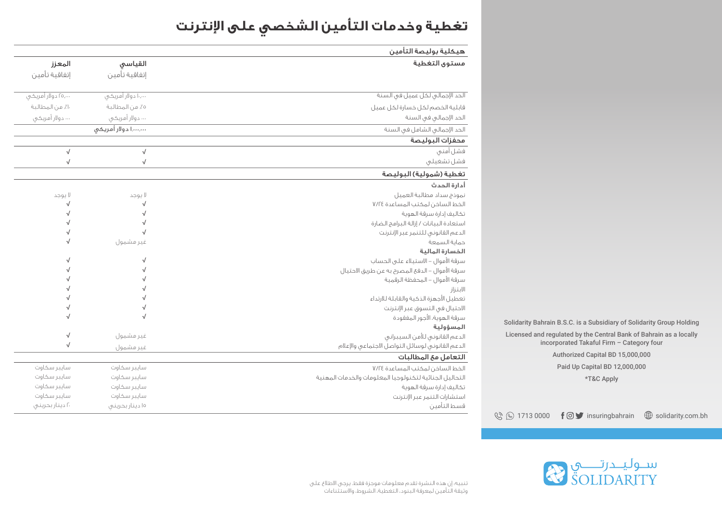## **تغطية وخدمات التأمين الشخصي على انترنت**

| هيكلية بوليصة التأمين                                   |                     |                     |  |
|---------------------------------------------------------|---------------------|---------------------|--|
| مستوى التغطية                                           | القياسى             | المعزز              |  |
|                                                         | إتفاقية تأمين       | إتفاقية تأمين       |  |
| الحد الإجمالي لكل عميل في السنة                         | ۱۰٬۰۰۰ دولار أمریکی | ۲۵٫۰۰۰ دولار أمریکی |  |
| قابلية الخصم لكل خسارة لكل عميل                         | ه٪ من المطالبة      | ١٠٪ من المطالبة     |  |
| الحد الإجمالي في السنة                                  | … دولار أمريكي      | … دولار أمريكي      |  |
| الحد الإجمالي الشامل في السنة                           | ,,۱ دولار أمريځۍ    |                     |  |
| محفزات البوليصة                                         |                     |                     |  |
| فشل أمني                                                | $\sqrt{ }$          | $\sqrt{ }$          |  |
| فشل تشغيلي                                              | $\sqrt{ }$          | $\sqrt{ }$          |  |
| تغطية (شمولية) البوليصة                                 |                     |                     |  |
| أدارة الحدث                                             |                     |                     |  |
| نموذج سداد مطالبة العميل                                | لا يوجد             | لا يوجد             |  |
| الخط الساخن لمكتب المساعدة ٧/٢٤                         | $\sqrt{}$           | √                   |  |
| تكاليف إدارة سرقة الهوية                                | √                   | $\sqrt{ }$          |  |
| استعادة البيانات / إزالة البرامج الضارة                 | √                   | $\sqrt{ }$          |  |
| الدعم القانوني للتنمر عبر الإنترنت                      |                     | $\sqrt{ }$          |  |
| حماية السمعة                                            | غير مشمول           | $\sqrt{ }$          |  |
| الخسارة المالية                                         |                     |                     |  |
| سرقة الأموال – الاستيلاء على الحساب                     | $\sqrt{}$           | $\sqrt{}$           |  |
| سرقة الأموال – الدفئ المصرح به عن طريق الاحتيال         | $\sqrt{ }$          | $\sqrt{ }$          |  |
| سرقة الأموال – المحفظة الرقمية                          | √                   | $\sqrt{ }$          |  |
| الابتزاز                                                |                     | $\sqrt{ }$          |  |
| تعطيل الأجهزة الذكية والقابلة للارتداء                  |                     | $\sqrt{ }$          |  |
| الاحتيال فى التسوق عبر الإنترنت                         | $\sqrt{}$           | $\sqrt{ }$          |  |
| سرقة الهوية، الأجور المفقودة                            | $\sqrt{ }$          | $\sqrt{}$           |  |
| المسؤولية                                               |                     |                     |  |
| الدعم القانوني للأمن السيبراني                          | غير مشمول           | $\sqrt{}$           |  |
| الدعم القانونى لوسائل التواصل الاجتماعى والإعلام        | غير مشمول           | $\sqrt{ }$          |  |
| التعامل مع المطالبات                                    |                     |                     |  |
| الخط الساخن لمكتب المساعدة ٧/٢٤                         | سايبر سكاوت         | سايبر سكاوت         |  |
| التحاليل الجنائية لتكنولوجيا المعلومات والخدمات المهنية | سابير سكاوت         | سايبر سكاوت         |  |
| تكاليف إدارة سرقة الهوية                                | سايبر سكاوت         | سايبر سكاوت         |  |
| استشارات التنمر عبر الإنترنت                            | سايبر سكاوت         | سايبر سكاوت         |  |
| قسط التأمين                                             | ۱۵ دینار بحرینی     | ۲۰ دینار بحرینی     |  |

Solidarity Bahrain B.S.C. is a Subsidiary of Solidarity Group Holding

Licensed and regulated by the Central Bank of Bahrain as a locally incorporated Takaful Firm – Category four

Authorized Capital BD 15,000,000

Paid Up Capital BD 12,000,000 \*T&C Apply

 $\mathbb{Q} \otimes \mathbb{1}$  1713 0000  $\mathbf{f} \odot \mathbf{y}$  insuringbahrain  $\mathbb{Q}$  solidarity.com.bh

ســوليــدرتـــــــي<br>SOLIDARITY